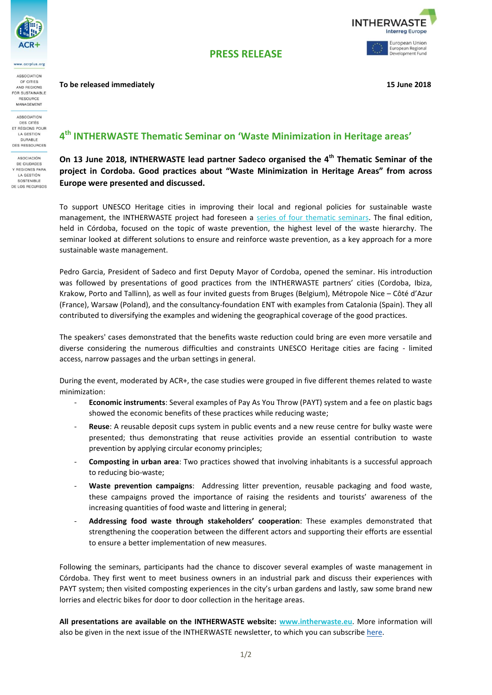

v.acrplus.org ASSOCIATION OF CITIES AND REGIONS OR SUSTAINABLE RESOURCE MANAGEMENT **ASSOCIATION** DES CITÉS ET RÉGIONS POUR LA GESTION DURABLE DES RESSOURCES ASOCIACIÓN DE CIUDADES **Y REGIONES PARA** LA GESTIÓN SOSTENIBLE DE LOS RECURSOS **PRESS RELEASE**

**To be released immediately 15 June 2018**



**4 th INTHERWASTE Thematic Seminar on 'Waste Minimization in Heritage areas'**

**On 13 June 2018, INTHERWASTE lead partner Sadeco organised the 4th Thematic Seminar of the project in Cordoba. Good practices about "Waste Minimization in Heritage Areas" from across Europe were presented and discussed.**

To support UNESCO Heritage cities in improving their local and regional policies for sustainable waste management, the INTHERWASTE project had foreseen a [series of four thematic seminars.](https://www.interregeurope.eu/intherwaste/events/) The final edition, held in Córdoba, focused on the topic of waste prevention, the highest level of the waste hierarchy. The seminar looked at different solutions to ensure and reinforce waste prevention, as a key approach for a more sustainable waste management.

Pedro Garcia, President of Sadeco and first Deputy Mayor of Cordoba, opened the seminar. His introduction was followed by presentations of good practices from the INTHERWASTE partners' cities (Cordoba, Ibiza, Krakow, Porto and Tallinn), as well as four invited guests from Bruges (Belgium), Métropole Nice – Côté d'Azur (France), Warsaw (Poland), and the consultancy-foundation ENT with examples from Catalonia (Spain). They all contributed to diversifying the examples and widening the geographical coverage of the good practices.

The speakers' cases demonstrated that the benefits waste reduction could bring are even more versatile and diverse considering the numerous difficulties and constraints UNESCO Heritage cities are facing - limited access, narrow passages and the urban settings in general.

During the event, moderated by ACR+, the case studies were grouped in five different themes related to waste minimization:

- **Economic instruments**: Several examples of Pay As You Throw (PAYT) system and a fee on plastic bags showed the economic benefits of these practices while reducing waste;
- Reuse: A reusable deposit cups system in public events and a new reuse centre for bulky waste were presented; thus demonstrating that reuse activities provide an essential contribution to waste prevention by applying circular economy principles;
- **Composting in urban area**: Two practices showed that involving inhabitants is a successful approach to reducing bio-waste;
- **Waste prevention campaigns**: Addressing litter prevention, reusable packaging and food waste, these campaigns proved the importance of raising the residents and tourists' awareness of the increasing quantities of food waste and littering in general;
- **Addressing food waste through stakeholders' cooperation**: These examples demonstrated that strengthening the cooperation between the different actors and supporting their efforts are essential to ensure a better implementation of new measures.

Following the seminars, participants had the chance to discover several examples of waste management in Córdoba. They first went to meet business owners in an industrial park and discuss their experiences with PAYT system; then visited composting experiences in the city's urban gardens and lastly, saw some brand new lorries and electric bikes for door to door collection in the heritage areas.

**All presentations are available on the INTHERWASTE website: [www.intherwaste.eu](https://www.interregeurope.eu/intherwaste/events/event/1376/intherwaste-thematic-seminar-4/)**. More information will also be given in the next issue of the INTHERWASTE newsletter, to which you can subscribe [here.](https://docs.google.com/forms/d/e/1FAIpQLSeJQIl7Dkqocno5B52oSdxB4eatyuONQrFprWnkyAkC0_bwcg/viewform)